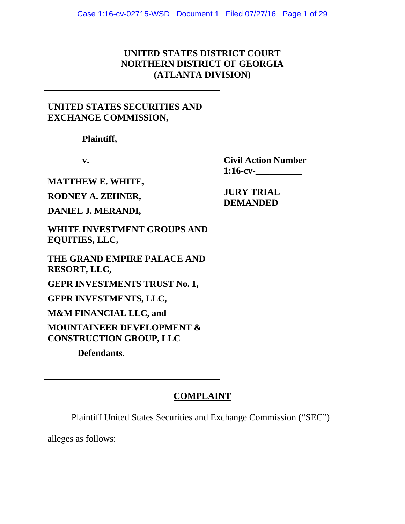## **UNITED STATES DISTRICT COURT NORTHERN DISTRICT OF GEORGIA (ATLANTA DIVISION)**

## **UNITED STATES SECURITIES AND EXCHANGE COMMISSION,**

 **Plaintiff,** 

**MATTHEW E. WHITE,** 

**RODNEY A. ZEHNER,** 

**DANIEL J. MERANDI,** 

**WHITE INVESTMENT GROUPS AND EQUITIES, LLC,** 

**THE GRAND EMPIRE PALACE AND RESORT, LLC,** 

**GEPR INVESTMENTS TRUST No. 1,** 

**GEPR INVESTMENTS, LLC,** 

**M&M FINANCIAL LLC, and** 

**MOUNTAINEER DEVELOPMENT & CONSTRUCTION GROUP, LLC** 

 **Defendants.** 

**v.** Civil Action Number **1:16-cv-\_\_\_\_\_\_\_\_\_\_** 

> **JURY TRIAL DEMANDED**

# **COMPLAINT**

Plaintiff United States Securities and Exchange Commission ("SEC")

alleges as follows: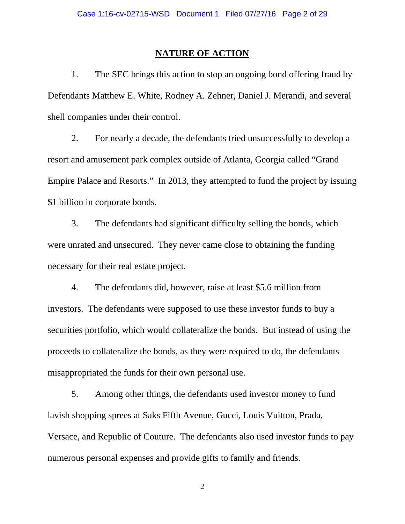#### **NATURE OF ACTION**

1. The SEC brings this action to stop an ongoing bond offering fraud by Defendants Matthew E. White, Rodney A. Zehner, Daniel J. Merandi, and several shell companies under their control.

2. For nearly a decade, the defendants tried unsuccessfully to develop a resort and amusement park complex outside of Atlanta, Georgia called "Grand Empire Palace and Resorts." In 2013, they attempted to fund the project by issuing \$1 billion in corporate bonds.

3. The defendants had significant difficulty selling the bonds, which were unrated and unsecured. They never came close to obtaining the funding necessary for their real estate project.

4. The defendants did, however, raise at least \$5.6 million from investors. The defendants were supposed to use these investor funds to buy a securities portfolio, which would collateralize the bonds. But instead of using the proceeds to collateralize the bonds, as they were required to do, the defendants misappropriated the funds for their own personal use.

5. Among other things, the defendants used investor money to fund lavish shopping sprees at Saks Fifth Avenue, Gucci, Louis Vuitton, Prada, Versace, and Republic of Couture. The defendants also used investor funds to pay numerous personal expenses and provide gifts to family and friends.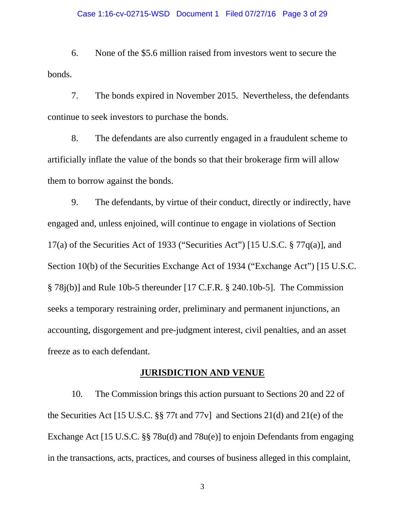#### Case 1:16-cv-02715-WSD Document 1 Filed 07/27/16 Page 3 of 29

6. None of the \$5.6 million raised from investors went to secure the bonds.

7. The bonds expired in November 2015. Nevertheless, the defendants continue to seek investors to purchase the bonds.

8. The defendants are also currently engaged in a fraudulent scheme to artificially inflate the value of the bonds so that their brokerage firm will allow them to borrow against the bonds.

9. The defendants, by virtue of their conduct, directly or indirectly, have engaged and, unless enjoined, will continue to engage in violations of Section 17(a) of the Securities Act of 1933 ("Securities Act") [15 U.S.C.  $\S 77q(a)$ ], and Section 10(b) of the Securities Exchange Act of 1934 ("Exchange Act") [15 U.S.C. § 78j(b)] and Rule 10b-5 thereunder [17 C.F.R. § 240.10b-5]. The Commission seeks a temporary restraining order, preliminary and permanent injunctions, an accounting, disgorgement and pre-judgment interest, civil penalties, and an asset freeze as to each defendant.

### **JURISDICTION AND VENUE**

10. The Commission brings this action pursuant to Sections 20 and 22 of the Securities Act [15 U.S.C. §§ 77t and 77v] and Sections 21(d) and 21(e) of the Exchange Act [15 U.S.C. §§ 78u(d) and 78u(e)] to enjoin Defendants from engaging in the transactions, acts, practices, and courses of business alleged in this complaint,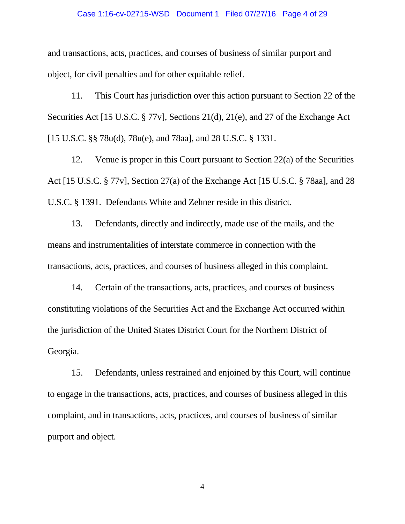#### Case 1:16-cv-02715-WSD Document 1 Filed 07/27/16 Page 4 of 29

and transactions, acts, practices, and courses of business of similar purport and object, for civil penalties and for other equitable relief.

11. This Court has jurisdiction over this action pursuant to Section 22 of the Securities Act [15 U.S.C. § 77v], Sections 21(d), 21(e), and 27 of the Exchange Act [15 U.S.C. §§ 78u(d), 78u(e), and 78aa], and 28 U.S.C. § 1331.

12. Venue is proper in this Court pursuant to Section 22(a) of the Securities Act [15 U.S.C. § 77v], Section 27(a) of the Exchange Act [15 U.S.C. § 78aa], and 28 U.S.C. § 1391. Defendants White and Zehner reside in this district.

13. Defendants, directly and indirectly, made use of the mails, and the means and instrumentalities of interstate commerce in connection with the transactions, acts, practices, and courses of business alleged in this complaint.

14. Certain of the transactions, acts, practices, and courses of business constituting violations of the Securities Act and the Exchange Act occurred within the jurisdiction of the United States District Court for the Northern District of Georgia.

15. Defendants, unless restrained and enjoined by this Court, will continue to engage in the transactions, acts, practices, and courses of business alleged in this complaint, and in transactions, acts, practices, and courses of business of similar purport and object.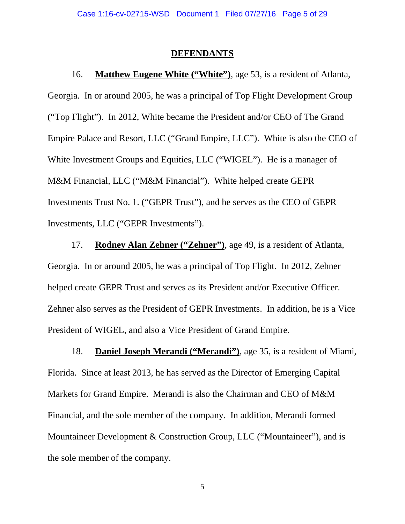#### **DEFENDANTS**

16. **Matthew Eugene White ("White")**, age 53, is a resident of Atlanta, Georgia. In or around 2005, he was a principal of Top Flight Development Group ("Top Flight"). In 2012, White became the President and/or CEO of The Grand Empire Palace and Resort, LLC ("Grand Empire, LLC"). White is also the CEO of White Investment Groups and Equities, LLC ("WIGEL"). He is a manager of M&M Financial, LLC ("M&M Financial"). White helped create GEPR Investments Trust No. 1. ("GEPR Trust"), and he serves as the CEO of GEPR Investments, LLC ("GEPR Investments").

17. **Rodney Alan Zehner ("Zehner")**, age 49, is a resident of Atlanta, Georgia. In or around 2005, he was a principal of Top Flight. In 2012, Zehner helped create GEPR Trust and serves as its President and/or Executive Officer. Zehner also serves as the President of GEPR Investments. In addition, he is a Vice President of WIGEL, and also a Vice President of Grand Empire.

18. **Daniel Joseph Merandi ("Merandi")**, age 35, is a resident of Miami, Florida. Since at least 2013, he has served as the Director of Emerging Capital Markets for Grand Empire. Merandi is also the Chairman and CEO of M&M Financial, and the sole member of the company. In addition, Merandi formed Mountaineer Development & Construction Group, LLC ("Mountaineer"), and is the sole member of the company.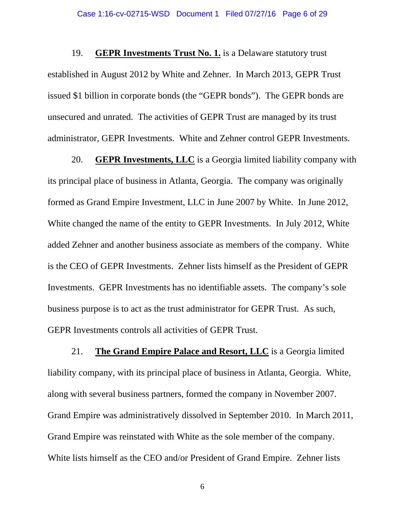19. **GEPR Investments Trust No. 1.** is a Delaware statutory trust established in August 2012 by White and Zehner. In March 2013, GEPR Trust issued \$1 billion in corporate bonds (the "GEPR bonds"). The GEPR bonds are unsecured and unrated. The activities of GEPR Trust are managed by its trust administrator, GEPR Investments. White and Zehner control GEPR Investments.

20. **GEPR Investments, LLC** is a Georgia limited liability company with its principal place of business in Atlanta, Georgia. The company was originally formed as Grand Empire Investment, LLC in June 2007 by White. In June 2012, White changed the name of the entity to GEPR Investments. In July 2012, White added Zehner and another business associate as members of the company. White is the CEO of GEPR Investments. Zehner lists himself as the President of GEPR Investments. GEPR Investments has no identifiable assets. The company's sole business purpose is to act as the trust administrator for GEPR Trust. As such, GEPR Investments controls all activities of GEPR Trust.

21. **The Grand Empire Palace and Resort, LLC** is a Georgia limited liability company, with its principal place of business in Atlanta, Georgia. White, along with several business partners, formed the company in November 2007. Grand Empire was administratively dissolved in September 2010. In March 2011, Grand Empire was reinstated with White as the sole member of the company. White lists himself as the CEO and/or President of Grand Empire. Zehner lists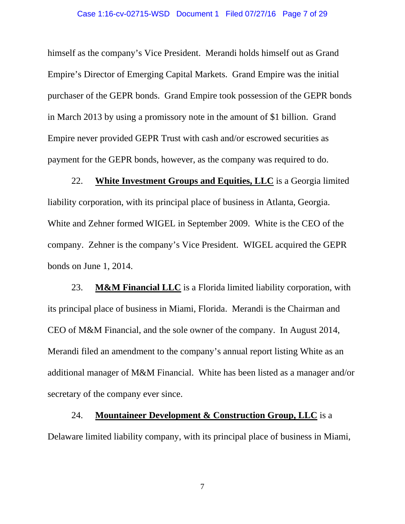#### Case 1:16-cv-02715-WSD Document 1 Filed 07/27/16 Page 7 of 29

himself as the company's Vice President. Merandi holds himself out as Grand Empire's Director of Emerging Capital Markets. Grand Empire was the initial purchaser of the GEPR bonds. Grand Empire took possession of the GEPR bonds in March 2013 by using a promissory note in the amount of \$1 billion. Grand Empire never provided GEPR Trust with cash and/or escrowed securities as payment for the GEPR bonds, however, as the company was required to do.

22. **White Investment Groups and Equities, LLC** is a Georgia limited liability corporation, with its principal place of business in Atlanta, Georgia. White and Zehner formed WIGEL in September 2009. White is the CEO of the company. Zehner is the company's Vice President. WIGEL acquired the GEPR bonds on June 1, 2014.

23. **M&M Financial LLC** is a Florida limited liability corporation, with its principal place of business in Miami, Florida. Merandi is the Chairman and CEO of M&M Financial, and the sole owner of the company. In August 2014, Merandi filed an amendment to the company's annual report listing White as an additional manager of M&M Financial. White has been listed as a manager and/or secretary of the company ever since.

24. **Mountaineer Development & Construction Group, LLC** is a Delaware limited liability company, with its principal place of business in Miami,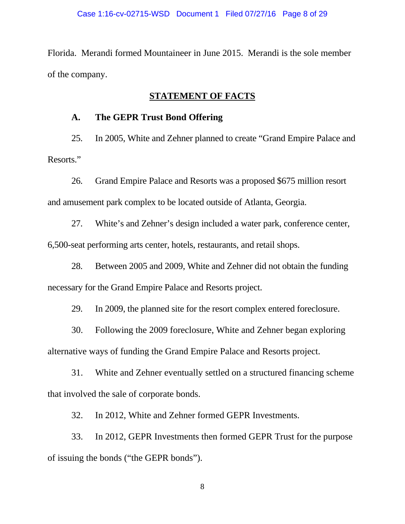Florida. Merandi formed Mountaineer in June 2015. Merandi is the sole member of the company.

### **STATEMENT OF FACTS**

#### **A. The GEPR Trust Bond Offering**

25. In 2005, White and Zehner planned to create "Grand Empire Palace and Resorts."

26. Grand Empire Palace and Resorts was a proposed \$675 million resort and amusement park complex to be located outside of Atlanta, Georgia.

27. White's and Zehner's design included a water park, conference center, 6,500-seat performing arts center, hotels, restaurants, and retail shops.

28. Between 2005 and 2009, White and Zehner did not obtain the funding necessary for the Grand Empire Palace and Resorts project.

29. In 2009, the planned site for the resort complex entered foreclosure.

30. Following the 2009 foreclosure, White and Zehner began exploring alternative ways of funding the Grand Empire Palace and Resorts project.

31. White and Zehner eventually settled on a structured financing scheme that involved the sale of corporate bonds.

32. In 2012, White and Zehner formed GEPR Investments.

33. In 2012, GEPR Investments then formed GEPR Trust for the purpose of issuing the bonds ("the GEPR bonds").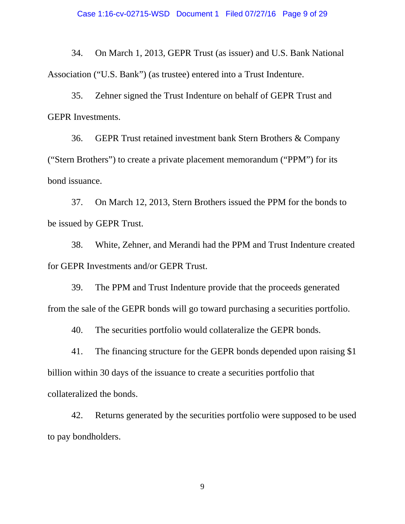34. On March 1, 2013, GEPR Trust (as issuer) and U.S. Bank National Association ("U.S. Bank") (as trustee) entered into a Trust Indenture.

35. Zehner signed the Trust Indenture on behalf of GEPR Trust and GEPR Investments.

36. GEPR Trust retained investment bank Stern Brothers & Company ("Stern Brothers") to create a private placement memorandum ("PPM") for its bond issuance.

37. On March 12, 2013, Stern Brothers issued the PPM for the bonds to be issued by GEPR Trust.

38. White, Zehner, and Merandi had the PPM and Trust Indenture created for GEPR Investments and/or GEPR Trust.

39. The PPM and Trust Indenture provide that the proceeds generated from the sale of the GEPR bonds will go toward purchasing a securities portfolio.

40. The securities portfolio would collateralize the GEPR bonds.

41. The financing structure for the GEPR bonds depended upon raising \$1 billion within 30 days of the issuance to create a securities portfolio that collateralized the bonds.

42. Returns generated by the securities portfolio were supposed to be used to pay bondholders.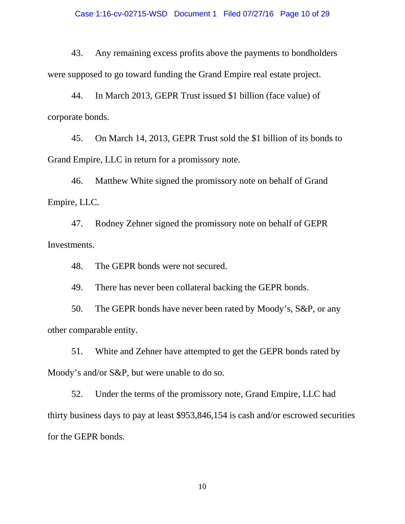43. Any remaining excess profits above the payments to bondholders were supposed to go toward funding the Grand Empire real estate project.

44. In March 2013, GEPR Trust issued \$1 billion (face value) of corporate bonds.

45. On March 14, 2013, GEPR Trust sold the \$1 billion of its bonds to Grand Empire, LLC in return for a promissory note.

46. Matthew White signed the promissory note on behalf of Grand Empire, LLC.

47. Rodney Zehner signed the promissory note on behalf of GEPR Investments.

48. The GEPR bonds were not secured.

49. There has never been collateral backing the GEPR bonds.

50. The GEPR bonds have never been rated by Moody's, S&P, or any other comparable entity.

51. White and Zehner have attempted to get the GEPR bonds rated by Moody's and/or S&P, but were unable to do so.

52. Under the terms of the promissory note, Grand Empire, LLC had thirty business days to pay at least \$953,846,154 is cash and/or escrowed securities for the GEPR bonds.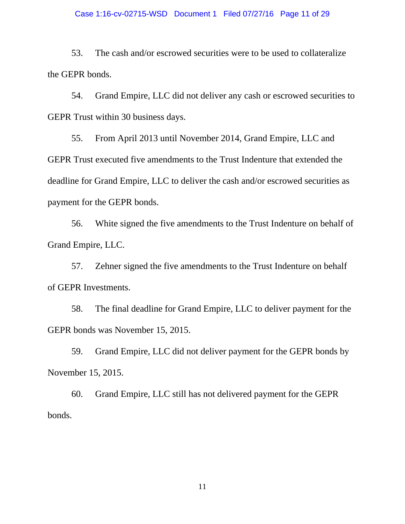#### Case 1:16-cv-02715-WSD Document 1 Filed 07/27/16 Page 11 of 29

53. The cash and/or escrowed securities were to be used to collateralize the GEPR bonds.

54. Grand Empire, LLC did not deliver any cash or escrowed securities to GEPR Trust within 30 business days.

55. From April 2013 until November 2014, Grand Empire, LLC and GEPR Trust executed five amendments to the Trust Indenture that extended the deadline for Grand Empire, LLC to deliver the cash and/or escrowed securities as payment for the GEPR bonds.

56. White signed the five amendments to the Trust Indenture on behalf of Grand Empire, LLC.

57. Zehner signed the five amendments to the Trust Indenture on behalf of GEPR Investments.

58. The final deadline for Grand Empire, LLC to deliver payment for the GEPR bonds was November 15, 2015.

59. Grand Empire, LLC did not deliver payment for the GEPR bonds by November 15, 2015.

60. Grand Empire, LLC still has not delivered payment for the GEPR bonds.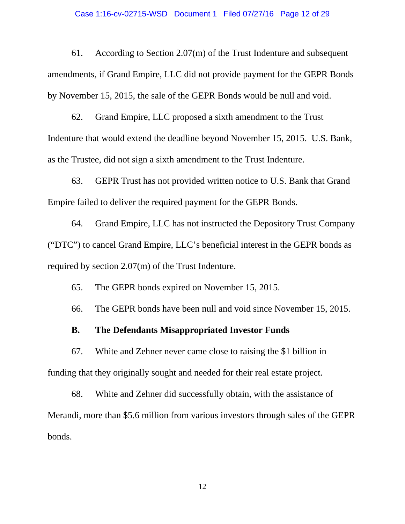#### Case 1:16-cv-02715-WSD Document 1 Filed 07/27/16 Page 12 of 29

61. According to Section 2.07(m) of the Trust Indenture and subsequent amendments, if Grand Empire, LLC did not provide payment for the GEPR Bonds by November 15, 2015, the sale of the GEPR Bonds would be null and void.

62. Grand Empire, LLC proposed a sixth amendment to the Trust Indenture that would extend the deadline beyond November 15, 2015. U.S. Bank, as the Trustee, did not sign a sixth amendment to the Trust Indenture.

63. GEPR Trust has not provided written notice to U.S. Bank that Grand Empire failed to deliver the required payment for the GEPR Bonds.

64. Grand Empire, LLC has not instructed the Depository Trust Company ("DTC") to cancel Grand Empire, LLC's beneficial interest in the GEPR bonds as required by section 2.07(m) of the Trust Indenture.

65. The GEPR bonds expired on November 15, 2015.

66. The GEPR bonds have been null and void since November 15, 2015.

### **B. The Defendants Misappropriated Investor Funds**

67. White and Zehner never came close to raising the \$1 billion in funding that they originally sought and needed for their real estate project.

68. White and Zehner did successfully obtain, with the assistance of Merandi, more than \$5.6 million from various investors through sales of the GEPR bonds.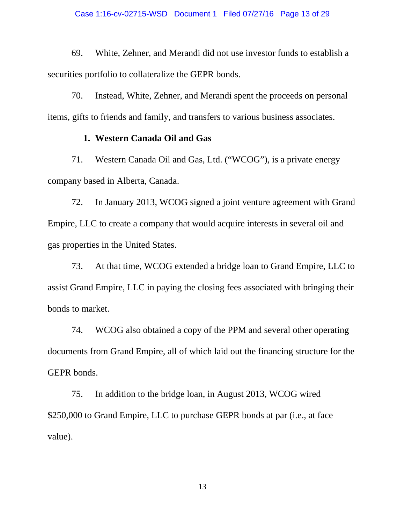69. White, Zehner, and Merandi did not use investor funds to establish a securities portfolio to collateralize the GEPR bonds.

70. Instead, White, Zehner, and Merandi spent the proceeds on personal items, gifts to friends and family, and transfers to various business associates.

#### **1. Western Canada Oil and Gas**

71. Western Canada Oil and Gas, Ltd. ("WCOG"), is a private energy company based in Alberta, Canada.

72. In January 2013, WCOG signed a joint venture agreement with Grand Empire, LLC to create a company that would acquire interests in several oil and gas properties in the United States.

73. At that time, WCOG extended a bridge loan to Grand Empire, LLC to assist Grand Empire, LLC in paying the closing fees associated with bringing their bonds to market.

74. WCOG also obtained a copy of the PPM and several other operating documents from Grand Empire, all of which laid out the financing structure for the GEPR bonds.

75. In addition to the bridge loan, in August 2013, WCOG wired \$250,000 to Grand Empire, LLC to purchase GEPR bonds at par (i.e., at face value).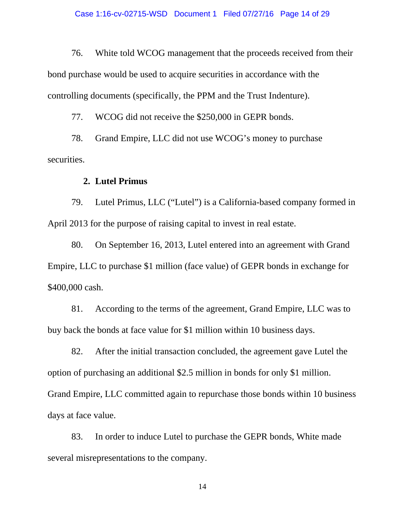76. White told WCOG management that the proceeds received from their bond purchase would be used to acquire securities in accordance with the controlling documents (specifically, the PPM and the Trust Indenture).

77. WCOG did not receive the \$250,000 in GEPR bonds.

78. Grand Empire, LLC did not use WCOG's money to purchase securities.

### **2. Lutel Primus**

79. Lutel Primus, LLC ("Lutel") is a California-based company formed in April 2013 for the purpose of raising capital to invest in real estate.

80. On September 16, 2013, Lutel entered into an agreement with Grand Empire, LLC to purchase \$1 million (face value) of GEPR bonds in exchange for \$400,000 cash.

81. According to the terms of the agreement, Grand Empire, LLC was to buy back the bonds at face value for \$1 million within 10 business days.

82. After the initial transaction concluded, the agreement gave Lutel the option of purchasing an additional \$2.5 million in bonds for only \$1 million. Grand Empire, LLC committed again to repurchase those bonds within 10 business days at face value.

83. In order to induce Lutel to purchase the GEPR bonds, White made several misrepresentations to the company.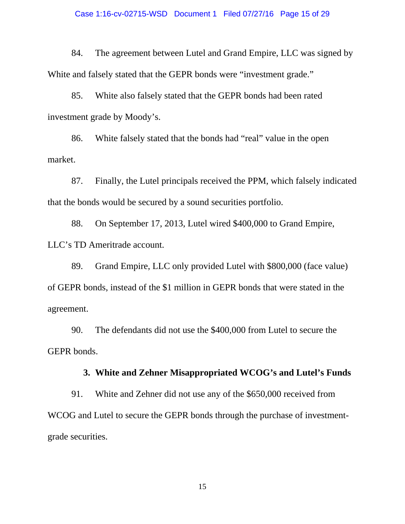#### Case 1:16-cv-02715-WSD Document 1 Filed 07/27/16 Page 15 of 29

84. The agreement between Lutel and Grand Empire, LLC was signed by White and falsely stated that the GEPR bonds were "investment grade."

85. White also falsely stated that the GEPR bonds had been rated investment grade by Moody's.

86. White falsely stated that the bonds had "real" value in the open market.

87. Finally, the Lutel principals received the PPM, which falsely indicated that the bonds would be secured by a sound securities portfolio.

88. On September 17, 2013, Lutel wired \$400,000 to Grand Empire, LLC's TD Ameritrade account.

89. Grand Empire, LLC only provided Lutel with \$800,000 (face value) of GEPR bonds, instead of the \$1 million in GEPR bonds that were stated in the agreement.

90. The defendants did not use the \$400,000 from Lutel to secure the GEPR bonds.

### **3. White and Zehner Misappropriated WCOG's and Lutel's Funds**

91. White and Zehner did not use any of the \$650,000 received from WCOG and Lutel to secure the GEPR bonds through the purchase of investmentgrade securities.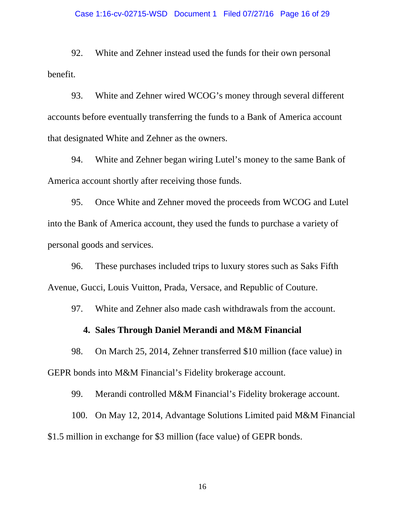92. White and Zehner instead used the funds for their own personal benefit.

93. White and Zehner wired WCOG's money through several different accounts before eventually transferring the funds to a Bank of America account that designated White and Zehner as the owners.

94. White and Zehner began wiring Lutel's money to the same Bank of America account shortly after receiving those funds.

95. Once White and Zehner moved the proceeds from WCOG and Lutel into the Bank of America account, they used the funds to purchase a variety of personal goods and services.

96. These purchases included trips to luxury stores such as Saks Fifth Avenue, Gucci, Louis Vuitton, Prada, Versace, and Republic of Couture.

97. White and Zehner also made cash withdrawals from the account.

### **4. Sales Through Daniel Merandi and M&M Financial**

98. On March 25, 2014, Zehner transferred \$10 million (face value) in GEPR bonds into M&M Financial's Fidelity brokerage account.

99. Merandi controlled M&M Financial's Fidelity brokerage account.

100. On May 12, 2014, Advantage Solutions Limited paid M&M Financial \$1.5 million in exchange for \$3 million (face value) of GEPR bonds.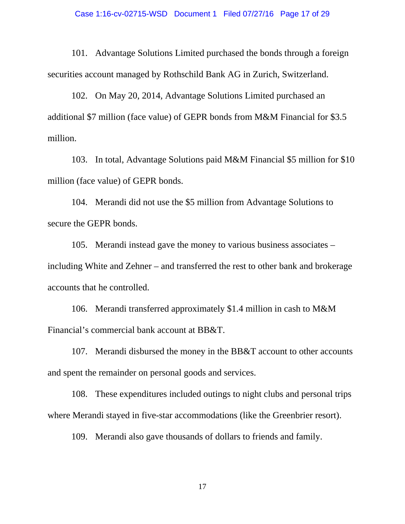#### Case 1:16-cv-02715-WSD Document 1 Filed 07/27/16 Page 17 of 29

101. Advantage Solutions Limited purchased the bonds through a foreign securities account managed by Rothschild Bank AG in Zurich, Switzerland.

102. On May 20, 2014, Advantage Solutions Limited purchased an additional \$7 million (face value) of GEPR bonds from M&M Financial for \$3.5 million.

103. In total, Advantage Solutions paid M&M Financial \$5 million for \$10 million (face value) of GEPR bonds.

104. Merandi did not use the \$5 million from Advantage Solutions to secure the GEPR bonds.

105. Merandi instead gave the money to various business associates – including White and Zehner – and transferred the rest to other bank and brokerage accounts that he controlled.

106. Merandi transferred approximately \$1.4 million in cash to M&M Financial's commercial bank account at BB&T.

107. Merandi disbursed the money in the BB&T account to other accounts and spent the remainder on personal goods and services.

108. These expenditures included outings to night clubs and personal trips where Merandi stayed in five-star accommodations (like the Greenbrier resort).

109. Merandi also gave thousands of dollars to friends and family.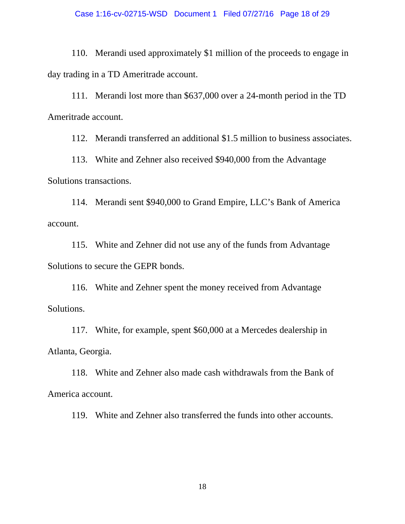#### Case 1:16-cv-02715-WSD Document 1 Filed 07/27/16 Page 18 of 29

110. Merandi used approximately \$1 million of the proceeds to engage in day trading in a TD Ameritrade account.

111. Merandi lost more than \$637,000 over a 24-month period in the TD Ameritrade account.

112. Merandi transferred an additional \$1.5 million to business associates.

113. White and Zehner also received \$940,000 from the Advantage Solutions transactions.

114. Merandi sent \$940,000 to Grand Empire, LLC's Bank of America account.

115. White and Zehner did not use any of the funds from Advantage Solutions to secure the GEPR bonds.

116. White and Zehner spent the money received from Advantage Solutions.

117. White, for example, spent \$60,000 at a Mercedes dealership in Atlanta, Georgia.

118. White and Zehner also made cash withdrawals from the Bank of America account.

119. White and Zehner also transferred the funds into other accounts.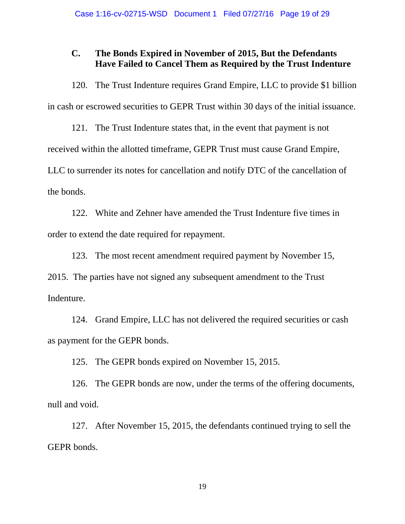## **C. The Bonds Expired in November of 2015, But the Defendants Have Failed to Cancel Them as Required by the Trust Indenture**

120. The Trust Indenture requires Grand Empire, LLC to provide \$1 billion in cash or escrowed securities to GEPR Trust within 30 days of the initial issuance.

121. The Trust Indenture states that, in the event that payment is not received within the allotted timeframe, GEPR Trust must cause Grand Empire, LLC to surrender its notes for cancellation and notify DTC of the cancellation of the bonds.

122. White and Zehner have amended the Trust Indenture five times in order to extend the date required for repayment.

123. The most recent amendment required payment by November 15, 2015. The parties have not signed any subsequent amendment to the Trust

Indenture.

124. Grand Empire, LLC has not delivered the required securities or cash as payment for the GEPR bonds.

125. The GEPR bonds expired on November 15, 2015.

126. The GEPR bonds are now, under the terms of the offering documents, null and void.

127. After November 15, 2015, the defendants continued trying to sell the GEPR bonds.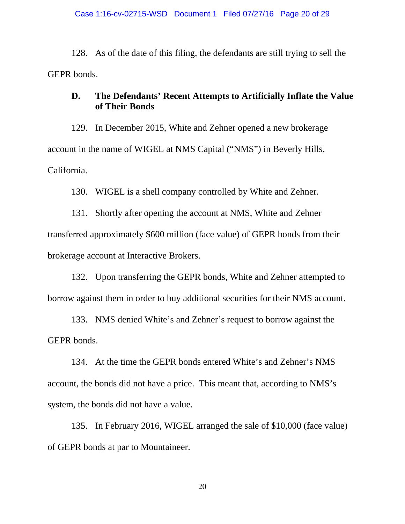128. As of the date of this filing, the defendants are still trying to sell the GEPR bonds.

## **D. The Defendants' Recent Attempts to Artificially Inflate the Value of Their Bonds**

129. In December 2015, White and Zehner opened a new brokerage account in the name of WIGEL at NMS Capital ("NMS") in Beverly Hills, California.

130. WIGEL is a shell company controlled by White and Zehner.

131. Shortly after opening the account at NMS, White and Zehner transferred approximately \$600 million (face value) of GEPR bonds from their brokerage account at Interactive Brokers.

132. Upon transferring the GEPR bonds, White and Zehner attempted to borrow against them in order to buy additional securities for their NMS account.

133. NMS denied White's and Zehner's request to borrow against the GEPR bonds.

134. At the time the GEPR bonds entered White's and Zehner's NMS account, the bonds did not have a price. This meant that, according to NMS's system, the bonds did not have a value.

135. In February 2016, WIGEL arranged the sale of \$10,000 (face value) of GEPR bonds at par to Mountaineer.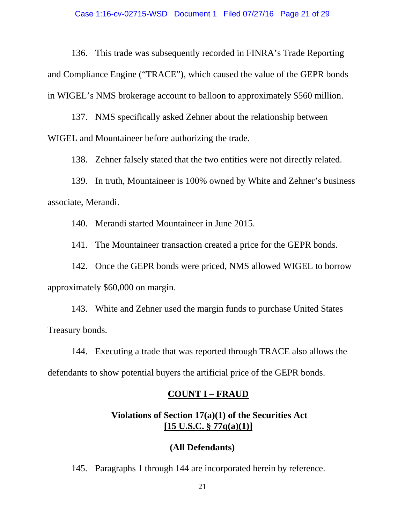136. This trade was subsequently recorded in FINRA's Trade Reporting and Compliance Engine ("TRACE"), which caused the value of the GEPR bonds in WIGEL's NMS brokerage account to balloon to approximately \$560 million.

137. NMS specifically asked Zehner about the relationship between WIGEL and Mountaineer before authorizing the trade.

138. Zehner falsely stated that the two entities were not directly related.

139. In truth, Mountaineer is 100% owned by White and Zehner's business associate, Merandi.

140. Merandi started Mountaineer in June 2015.

141. The Mountaineer transaction created a price for the GEPR bonds.

142. Once the GEPR bonds were priced, NMS allowed WIGEL to borrow approximately \$60,000 on margin.

143. White and Zehner used the margin funds to purchase United States Treasury bonds.

144. Executing a trade that was reported through TRACE also allows the defendants to show potential buyers the artificial price of the GEPR bonds.

### **COUNT I – FRAUD**

## **Violations of Section 17(a)(1) of the Securities Act [15 U.S.C. § 77q(a)(1)]**

#### **(All Defendants)**

145. Paragraphs 1 through 144 are incorporated herein by reference.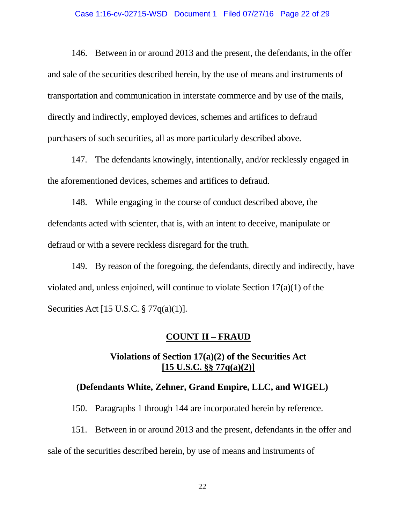#### Case 1:16-cv-02715-WSD Document 1 Filed 07/27/16 Page 22 of 29

146. Between in or around 2013 and the present, the defendants, in the offer and sale of the securities described herein, by the use of means and instruments of transportation and communication in interstate commerce and by use of the mails, directly and indirectly, employed devices, schemes and artifices to defraud purchasers of such securities, all as more particularly described above.

147. The defendants knowingly, intentionally, and/or recklessly engaged in the aforementioned devices, schemes and artifices to defraud.

148. While engaging in the course of conduct described above, the defendants acted with scienter, that is, with an intent to deceive, manipulate or defraud or with a severe reckless disregard for the truth.

149. By reason of the foregoing, the defendants, directly and indirectly, have violated and, unless enjoined, will continue to violate Section 17(a)(1) of the Securities Act [15 U.S.C. § 77q(a)(1)].

#### **COUNT II – FRAUD**

### **Violations of Section 17(a)(2) of the Securities Act [15 U.S.C. §§ 77q(a)(2)]**

#### **(Defendants White, Zehner, Grand Empire, LLC, and WIGEL)**

150. Paragraphs 1 through 144 are incorporated herein by reference.

151. Between in or around 2013 and the present, defendants in the offer and

sale of the securities described herein, by use of means and instruments of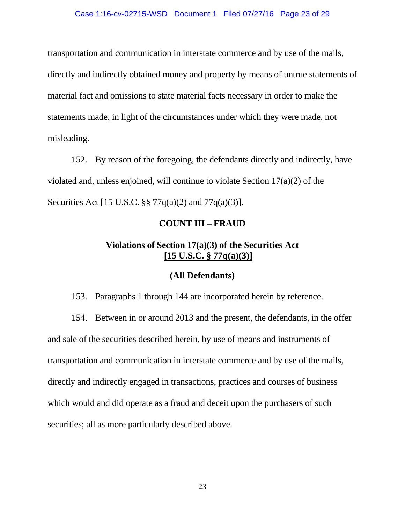#### Case 1:16-cv-02715-WSD Document 1 Filed 07/27/16 Page 23 of 29

transportation and communication in interstate commerce and by use of the mails, directly and indirectly obtained money and property by means of untrue statements of material fact and omissions to state material facts necessary in order to make the statements made, in light of the circumstances under which they were made, not misleading.

152. By reason of the foregoing, the defendants directly and indirectly, have violated and, unless enjoined, will continue to violate Section 17(a)(2) of the Securities Act [15 U.S.C. §§ 77q(a)(2) and 77q(a)(3)].

### **COUNT III – FRAUD**

## **Violations of Section 17(a)(3) of the Securities Act [15 U.S.C. § 77q(a)(3)]**

#### **(All Defendants)**

153. Paragraphs 1 through 144 are incorporated herein by reference.

154. Between in or around 2013 and the present, the defendants, in the offer and sale of the securities described herein, by use of means and instruments of transportation and communication in interstate commerce and by use of the mails, directly and indirectly engaged in transactions, practices and courses of business which would and did operate as a fraud and deceit upon the purchasers of such securities; all as more particularly described above.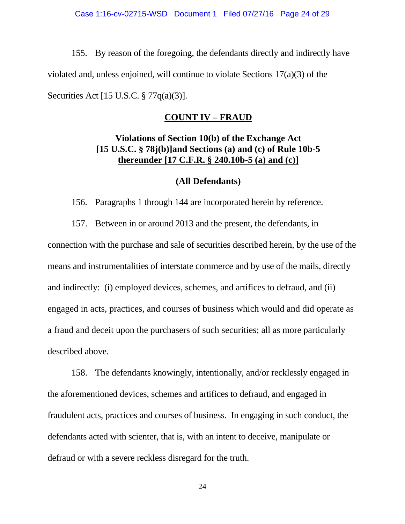155. By reason of the foregoing, the defendants directly and indirectly have violated and, unless enjoined, will continue to violate Sections 17(a)(3) of the Securities Act [15 U.S.C. § 77q(a)(3)].

### **COUNT IV – FRAUD**

## **Violations of Section 10(b) of the Exchange Act [15 U.S.C. § 78j(b)]and Sections (a) and (c) of Rule 10b-5 thereunder [17 C.F.R. § 240.10b-5 (a) and (c)]**

#### **(All Defendants)**

156. Paragraphs 1 through 144 are incorporated herein by reference.

157. Between in or around 2013 and the present, the defendants, in connection with the purchase and sale of securities described herein, by the use of the means and instrumentalities of interstate commerce and by use of the mails, directly and indirectly: (i) employed devices, schemes, and artifices to defraud, and (ii) engaged in acts, practices, and courses of business which would and did operate as a fraud and deceit upon the purchasers of such securities; all as more particularly described above.

158. The defendants knowingly, intentionally, and/or recklessly engaged in the aforementioned devices, schemes and artifices to defraud, and engaged in fraudulent acts, practices and courses of business. In engaging in such conduct, the defendants acted with scienter, that is, with an intent to deceive, manipulate or defraud or with a severe reckless disregard for the truth.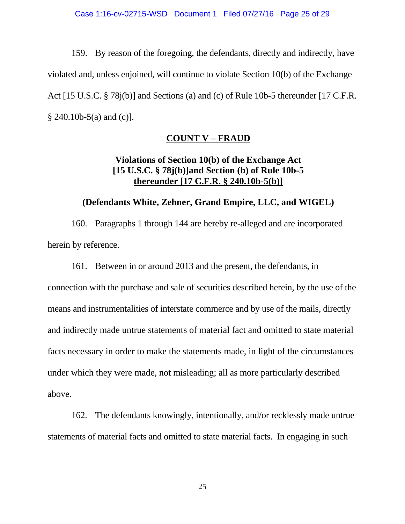159. By reason of the foregoing, the defendants, directly and indirectly, have violated and, unless enjoined, will continue to violate Section 10(b) of the Exchange Act [15 U.S.C. § 78j(b)] and Sections (a) and (c) of Rule 10b-5 thereunder [17 C.F.R.  $§$  240.10b-5(a) and (c)].

### **COUNT V – FRAUD**

## **Violations of Section 10(b) of the Exchange Act [15 U.S.C. § 78j(b)]and Section (b) of Rule 10b-5 thereunder [17 C.F.R. § 240.10b-5(b)]**

### **(Defendants White, Zehner, Grand Empire, LLC, and WIGEL)**

160. Paragraphs 1 through 144 are hereby re-alleged and are incorporated herein by reference.

161. Between in or around 2013 and the present, the defendants, in connection with the purchase and sale of securities described herein, by the use of the means and instrumentalities of interstate commerce and by use of the mails, directly and indirectly made untrue statements of material fact and omitted to state material facts necessary in order to make the statements made, in light of the circumstances under which they were made, not misleading; all as more particularly described above.

162. The defendants knowingly, intentionally, and/or recklessly made untrue statements of material facts and omitted to state material facts. In engaging in such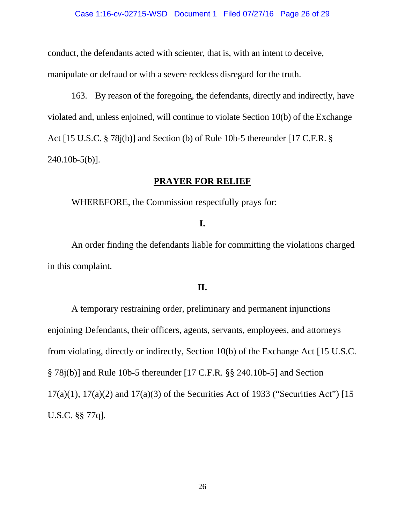conduct, the defendants acted with scienter, that is, with an intent to deceive, manipulate or defraud or with a severe reckless disregard for the truth.

163. By reason of the foregoing, the defendants, directly and indirectly, have violated and, unless enjoined, will continue to violate Section 10(b) of the Exchange Act [15 U.S.C. § 78j(b)] and Section (b) of Rule 10b-5 thereunder [17 C.F.R. §  $240.10<sub>b</sub> - 5<sub>(b)</sub>$ .

### **PRAYER FOR RELIEF**

WHEREFORE, the Commission respectfully prays for:

## **I.**

An order finding the defendants liable for committing the violations charged in this complaint.

### **II.**

 A temporary restraining order, preliminary and permanent injunctions enjoining Defendants, their officers, agents, servants, employees, and attorneys from violating, directly or indirectly, Section 10(b) of the Exchange Act [15 U.S.C. § 78j(b)] and Rule 10b-5 thereunder [17 C.F.R. §§ 240.10b-5] and Section 17(a)(1), 17(a)(2) and 17(a)(3) of the Securities Act of 1933 ("Securities Act") [15 U.S.C. §§ 77q].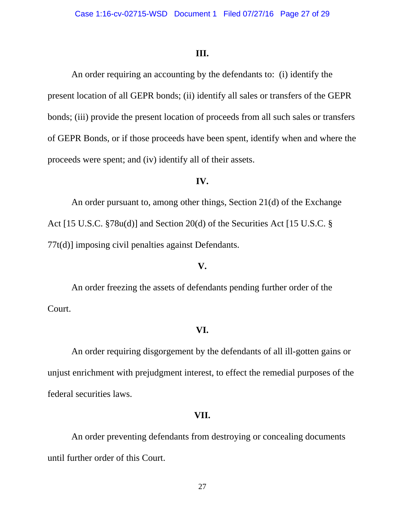#### **III.**

An order requiring an accounting by the defendants to: (i) identify the present location of all GEPR bonds; (ii) identify all sales or transfers of the GEPR bonds; (iii) provide the present location of proceeds from all such sales or transfers of GEPR Bonds, or if those proceeds have been spent, identify when and where the proceeds were spent; and (iv) identify all of their assets.

#### **IV.**

An order pursuant to, among other things, Section 21(d) of the Exchange Act [15 U.S.C. §78u(d)] and Section 20(d) of the Securities Act [15 U.S.C. § 77t(d)] imposing civil penalties against Defendants.

#### **V.**

An order freezing the assets of defendants pending further order of the Court.

#### **VI.**

An order requiring disgorgement by the defendants of all ill-gotten gains or unjust enrichment with prejudgment interest, to effect the remedial purposes of the federal securities laws.

#### **VII.**

An order preventing defendants from destroying or concealing documents until further order of this Court.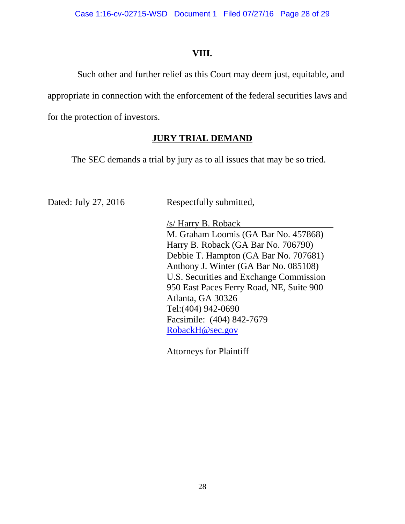## **VIII.**

 Such other and further relief as this Court may deem just, equitable, and appropriate in connection with the enforcement of the federal securities laws and for the protection of investors.

## **JURY TRIAL DEMAND**

The SEC demands a trial by jury as to all issues that may be so tried.

Respectfully submitted,

 /s/ Harry B. Roback M. Graham Loomis (GA Bar No. 457868) Harry B. Roback (GA Bar No. 706790) Debbie T. Hampton (GA Bar No. 707681) Anthony J. Winter (GA Bar No. 085108) U.S. Securities and Exchange Commission 950 East Paces Ferry Road, NE, Suite 900 Atlanta, GA 30326 Tel:(404) 942-0690 Facsimile: (404) 842-7679 RobackH@sec.gov

Attorneys for Plaintiff